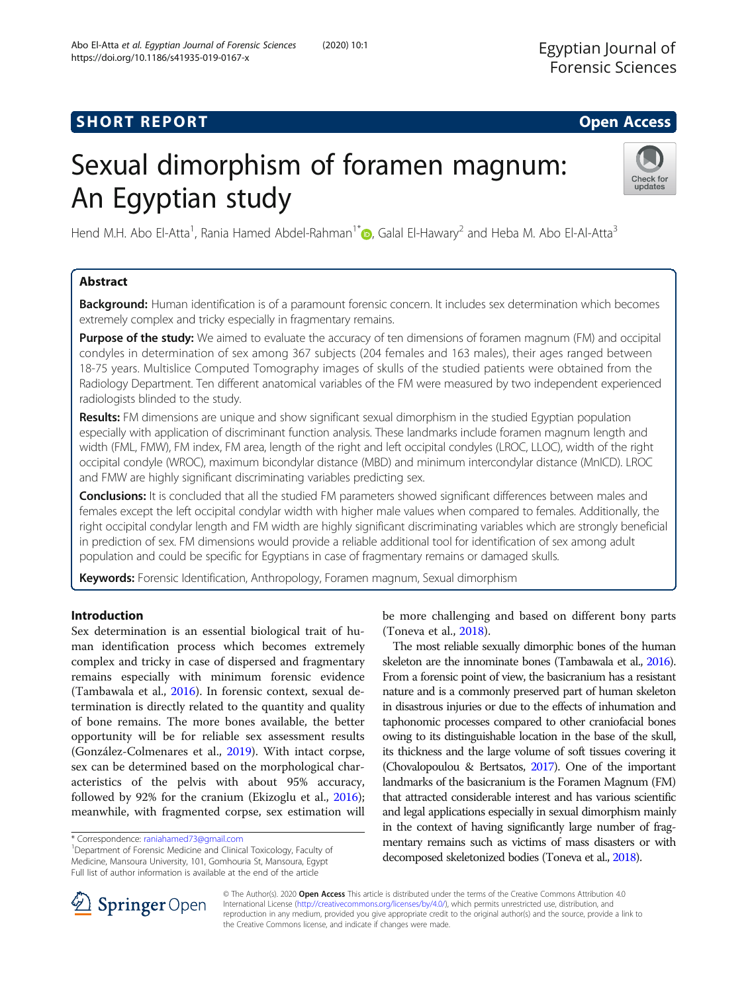# **SHORT REPORT SHORT CONSUMING THE SHORT CONSUMING THE SHORT CONSUMING THE SHORT CONSUMING THE SHORT CONSUMING THE SHORT CONSUMING THE SHORT CONSUMING THE SHORT CONSUMING THE SHORT CONSUMING THE SHORT CONSUMING THE SHORT**

# Sexual dimorphism of foramen magnum: An Egyptian study



Hend M.H. Abo El-Atta<sup>1</sup>, Rania Hamed Abdel-Rahman<sup>1[\\*](http://orcid.org/0000-0002-3287-455X)</sup> $\bullet$ , Galal El-Hawary<sup>2</sup> and Heba M. Abo El-Al-Atta<sup>3</sup>

# Abstract

Background: Human identification is of a paramount forensic concern. It includes sex determination which becomes extremely complex and tricky especially in fragmentary remains.

Purpose of the study: We aimed to evaluate the accuracy of ten dimensions of foramen magnum (FM) and occipital condyles in determination of sex among 367 subjects (204 females and 163 males), their ages ranged between 18-75 years. Multislice Computed Tomography images of skulls of the studied patients were obtained from the Radiology Department. Ten different anatomical variables of the FM were measured by two independent experienced radiologists blinded to the study.

Results: FM dimensions are unique and show significant sexual dimorphism in the studied Egyptian population especially with application of discriminant function analysis. These landmarks include foramen magnum length and width (FML, FMW), FM index, FM area, length of the right and left occipital condyles (LROC, LLOC), width of the right occipital condyle (WROC), maximum bicondylar distance (MBD) and minimum intercondylar distance (MnICD). LROC and FMW are highly significant discriminating variables predicting sex.

**Conclusions:** It is concluded that all the studied FM parameters showed significant differences between males and females except the left occipital condylar width with higher male values when compared to females. Additionally, the right occipital condylar length and FM width are highly significant discriminating variables which are strongly beneficial in prediction of sex. FM dimensions would provide a reliable additional tool for identification of sex among adult population and could be specific for Egyptians in case of fragmentary remains or damaged skulls.

Keywords: Forensic Identification, Anthropology, Foramen magnum, Sexual dimorphism

# Introduction

Sex determination is an essential biological trait of human identification process which becomes extremely complex and tricky in case of dispersed and fragmentary remains especially with minimum forensic evidence (Tambawala et al., [2016\)](#page-11-0). In forensic context, sexual determination is directly related to the quantity and quality of bone remains. The more bones available, the better opportunity will be for reliable sex assessment results (González-Colmenares et al., [2019](#page-10-0)). With intact corpse, sex can be determined based on the morphological characteristics of the pelvis with about 95% accuracy, followed by 92% for the cranium (Ekizoglu et al., [2016](#page-10-0)); meanwhile, with fragmented corpse, sex estimation will

be more challenging and based on different bony parts (Toneva et al., [2018\)](#page-11-0).

The most reliable sexually dimorphic bones of the human skeleton are the innominate bones (Tambawala et al., [2016\)](#page-11-0). From a forensic point of view, the basicranium has a resistant nature and is a commonly preserved part of human skeleton in disastrous injuries or due to the effects of inhumation and taphonomic processes compared to other craniofacial bones owing to its distinguishable location in the base of the skull, its thickness and the large volume of soft tissues covering it (Chovalopoulou & Bertsatos, [2017](#page-10-0)). One of the important landmarks of the basicranium is the Foramen Magnum (FM) that attracted considerable interest and has various scientific and legal applications especially in sexual dimorphism mainly in the context of having significantly large number of fragmentary remains such as victims of mass disasters or with decomposed skeletonized bodies (Toneva et al., [2018](#page-11-0)).



© The Author(s). 2020 Open Access This article is distributed under the terms of the Creative Commons Attribution 4.0 International License ([http://creativecommons.org/licenses/by/4.0/\)](http://creativecommons.org/licenses/by/4.0/), which permits unrestricted use, distribution, and reproduction in any medium, provided you give appropriate credit to the original author(s) and the source, provide a link to the Creative Commons license, and indicate if changes were made.

<sup>\*</sup> Correspondence: [raniahamed73@gmail.com](mailto:raniahamed73@gmail.com) <sup>1</sup>

<sup>&</sup>lt;sup>1</sup>Department of Forensic Medicine and Clinical Toxicology, Faculty of Medicine, Mansoura University, 101, Gomhouria St, Mansoura, Egypt Full list of author information is available at the end of the article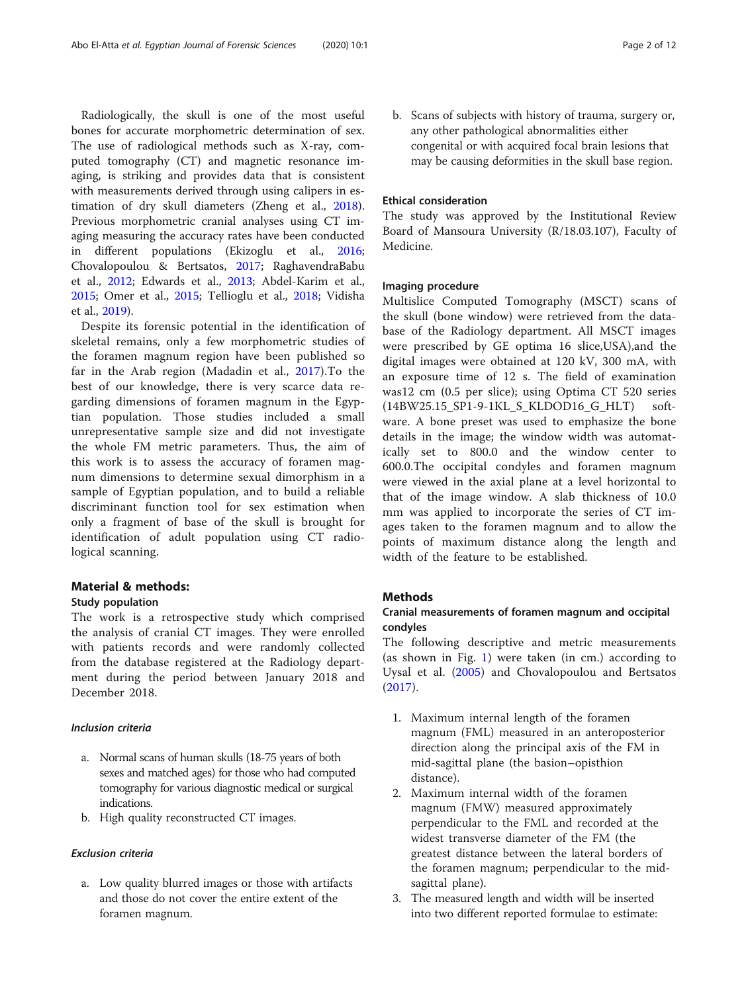Radiologically, the skull is one of the most useful bones for accurate morphometric determination of sex. The use of radiological methods such as X-ray, computed tomography (CT) and magnetic resonance imaging, is striking and provides data that is consistent with measurements derived through using calipers in estimation of dry skull diameters (Zheng et al., [2018](#page-11-0)). Previous morphometric cranial analyses using CT imaging measuring the accuracy rates have been conducted in different populations (Ekizoglu et al., [2016](#page-10-0); Chovalopoulou & Bertsatos, [2017;](#page-10-0) RaghavendraBabu et al., [2012](#page-11-0); Edwards et al., [2013](#page-10-0); Abdel-Karim et al., [2015](#page-10-0); Omer et al., [2015;](#page-10-0) Tellioglu et al., [2018](#page-11-0); Vidisha et al., [2019](#page-11-0)).

Despite its forensic potential in the identification of skeletal remains, only a few morphometric studies of the foramen magnum region have been published so far in the Arab region (Madadin et al., [2017](#page-10-0)).To the best of our knowledge, there is very scarce data regarding dimensions of foramen magnum in the Egyptian population. Those studies included a small unrepresentative sample size and did not investigate the whole FM metric parameters. Thus, the aim of this work is to assess the accuracy of foramen magnum dimensions to determine sexual dimorphism in a sample of Egyptian population, and to build a reliable discriminant function tool for sex estimation when only a fragment of base of the skull is brought for identification of adult population using CT radiological scanning.

# Material & methods:

## Study population

The work is a retrospective study which comprised the analysis of cranial CT images. They were enrolled with patients records and were randomly collected from the database registered at the Radiology department during the period between January 2018 and December 2018.

# Inclusion criteria

- a. Normal scans of human skulls (18-75 years of both sexes and matched ages) for those who had computed tomography for various diagnostic medical or surgical indications.
- b. High quality reconstructed CT images.

# Exclusion criteria

a. Low quality blurred images or those with artifacts and those do not cover the entire extent of the foramen magnum.

b. Scans of subjects with history of trauma, surgery or, any other pathological abnormalities either congenital or with acquired focal brain lesions that may be causing deformities in the skull base region.

#### Ethical consideration

The study was approved by the Institutional Review Board of Mansoura University (R/18.03.107), Faculty of Medicine.

#### Imaging procedure

Multislice Computed Tomography (MSCT) scans of the skull (bone window) were retrieved from the database of the Radiology department. All MSCT images were prescribed by GE optima 16 slice,USA),and the digital images were obtained at 120 kV, 300 mA, with an exposure time of 12 s. The field of examination was12 cm (0.5 per slice); using Optima CT 520 series (14BW25.15\_SP1-9-1KL\_S\_KLDOD16\_G\_HLT) software. A bone preset was used to emphasize the bone details in the image; the window width was automatically set to 800.0 and the window center to 600.0.The occipital condyles and foramen magnum were viewed in the axial plane at a level horizontal to that of the image window. A slab thickness of 10.0 mm was applied to incorporate the series of CT images taken to the foramen magnum and to allow the points of maximum distance along the length and width of the feature to be established.

# Methods

# Cranial measurements of foramen magnum and occipital condyles

The following descriptive and metric measurements (as shown in Fig. [1](#page-2-0)) were taken (in cm.) according to Uysal et al. ([2005](#page-11-0)) and Chovalopoulou and Bertsatos ([2017\)](#page-10-0).

- 1. Maximum internal length of the foramen magnum (FML) measured in an anteroposterior direction along the principal axis of the FM in mid-sagittal plane (the basion–opisthion distance).
- 2. Maximum internal width of the foramen magnum (FMW) measured approximately perpendicular to the FML and recorded at the widest transverse diameter of the FM (the greatest distance between the lateral borders of the foramen magnum; perpendicular to the midsagittal plane).
- 3. The measured length and width will be inserted into two different reported formulae to estimate: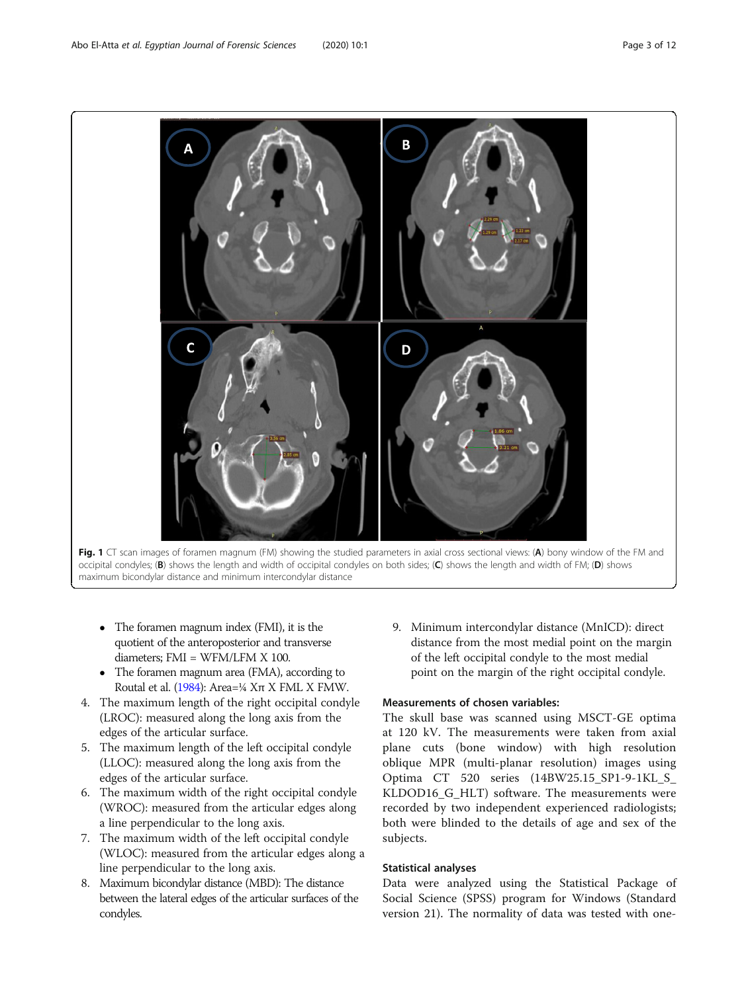# • The foramen magnum index (FMI), it is the quotient of the anteroposterior and transverse diameters; FMI = WFM/LFM X 100.

- The foramen magnum area (FMA), according to Routal et al.  $(1984)$  $(1984)$ : Area=¼ Xπ X FML X FMW.
- 4. The maximum length of the right occipital condyle (LROC): measured along the long axis from the edges of the articular surface.
- 5. The maximum length of the left occipital condyle (LLOC): measured along the long axis from the edges of the articular surface.
- 6. The maximum width of the right occipital condyle (WROC): measured from the articular edges along a line perpendicular to the long axis.
- 7. The maximum width of the left occipital condyle (WLOC): measured from the articular edges along a line perpendicular to the long axis.
- 8. Maximum bicondylar distance (MBD): The distance between the lateral edges of the articular surfaces of the condyles.

9. Minimum intercondylar distance (MnICD): direct distance from the most medial point on the margin of the left occipital condyle to the most medial point on the margin of the right occipital condyle.

# Measurements of chosen variables:

The skull base was scanned using MSCT-GE optima at 120 kV. The measurements were taken from axial plane cuts (bone window) with high resolution oblique MPR (multi-planar resolution) images using Optima CT 520 series (14BW25.15\_SP1-9-1KL\_S\_ KLDOD16\_G\_HLT) software. The measurements were recorded by two independent experienced radiologists; both were blinded to the details of age and sex of the subjects.

# Statistical analyses

Data were analyzed using the Statistical Package of Social Science (SPSS) program for Windows (Standard version 21). The normality of data was tested with one-

<span id="page-2-0"></span>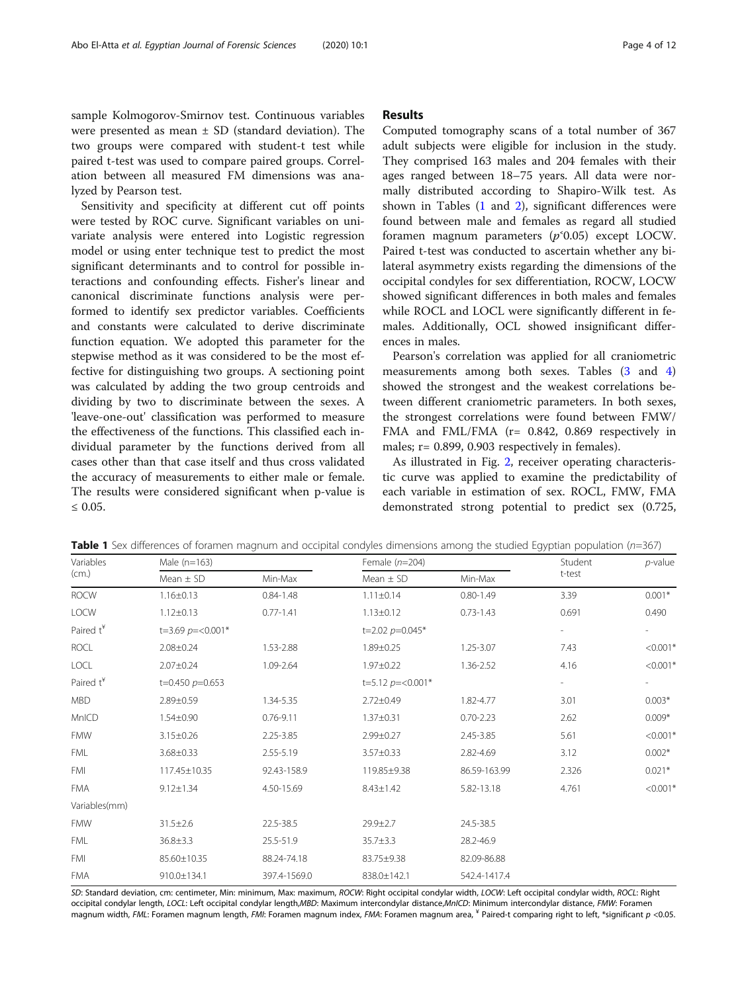sample Kolmogorov-Smirnov test. Continuous variables were presented as mean  $\pm$  SD (standard deviation). The two groups were compared with student-t test while paired t-test was used to compare paired groups. Correlation between all measured FM dimensions was analyzed by Pearson test.

Sensitivity and specificity at different cut off points were tested by ROC curve. Significant variables on univariate analysis were entered into Logistic regression model or using enter technique test to predict the most significant determinants and to control for possible interactions and confounding effects. Fisher's linear and canonical discriminate functions analysis were performed to identify sex predictor variables. Coefficients and constants were calculated to derive discriminate function equation. We adopted this parameter for the stepwise method as it was considered to be the most effective for distinguishing two groups. A sectioning point was calculated by adding the two group centroids and dividing by two to discriminate between the sexes. A 'leave-one-out' classification was performed to measure the effectiveness of the functions. This classified each individual parameter by the functions derived from all cases other than that case itself and thus cross validated the accuracy of measurements to either male or female. The results were considered significant when p-value is ≤ 0.05.

## Results

Computed tomography scans of a total number of 367 adult subjects were eligible for inclusion in the study. They comprised 163 males and 204 females with their ages ranged between 18–75 years. All data were normally distributed according to Shapiro-Wilk test. As shown in Tables (1 and [2](#page-4-0)), significant differences were found between male and females as regard all studied foramen magnum parameters  $(p<sup>6</sup>0.05)$  except LOCW. Paired t-test was conducted to ascertain whether any bilateral asymmetry exists regarding the dimensions of the occipital condyles for sex differentiation, ROCW, LOCW showed significant differences in both males and females while ROCL and LOCL were significantly different in females. Additionally, OCL showed insignificant differences in males.

Pearson's correlation was applied for all craniometric measurements among both sexes. Tables [\(3](#page-4-0) and [4](#page-5-0)) showed the strongest and the weakest correlations between different craniometric parameters. In both sexes, the strongest correlations were found between FMW/ FMA and FML/FMA (r= 0.842, 0.869 respectively in males; r= 0.899, 0.903 respectively in females).

As illustrated in Fig. [2,](#page-5-0) receiver operating characteristic curve was applied to examine the predictability of each variable in estimation of sex. ROCL, FMW, FMA demonstrated strong potential to predict sex (0.725,

| Variables             | Male $(n=163)$     |               | Female $(n=204)$   |               | Student | $p$ -value |
|-----------------------|--------------------|---------------|--------------------|---------------|---------|------------|
| (cm.)                 | Mean $\pm$ SD      | Min-Max       | Mean $\pm$ SD      | Min-Max       | t-test  |            |
| <b>ROCW</b>           | $1.16 \pm 0.13$    | $0.84 - 1.48$ | $1.11 \pm 0.14$    | $0.80 - 1.49$ | 3.39    | $0.001*$   |
| <b>LOCW</b>           | $1.12 \pm 0.13$    | $0.77 - 1.41$ | $1.13 \pm 0.12$    | $0.73 - 1.43$ | 0.691   | 0.490      |
| Paired t <sup>¥</sup> | t=3.69 $p=<0.001*$ |               | $t=2.02 p=0.045*$  |               |         |            |
| <b>ROCL</b>           | $2.08 \pm 0.24$    | 1.53-2.88     | 1.89±0.25          | 1.25-3.07     | 7.43    | $< 0.001*$ |
| <b>LOCL</b>           | $2.07 \pm 0.24$    | 1.09-2.64     | $1.97 \pm 0.22$    | 1.36-2.52     | 4.16    | $< 0.001*$ |
| Paired t <sup>¥</sup> | $t=0.450 p=0.653$  |               | $t=5.12 p=<0.001*$ |               |         |            |
| <b>MBD</b>            | $2.89 \pm 0.59$    | 1.34-5.35     | $2.72 \pm 0.49$    | 1.82-4.77     | 3.01    | $0.003*$   |
| MnICD                 | $1.54 \pm 0.90$    | $0.76 - 9.11$ | $1.37 \pm 0.31$    | $0.70 - 2.23$ | 2.62    | $0.009*$   |
| <b>FMW</b>            | $3.15 \pm 0.26$    | 2.25-3.85     | 2.99±0.27          | 2.45-3.85     | 5.61    | $< 0.001*$ |
| <b>FML</b>            | $3.68 \pm 0.33$    | 2.55-5.19     | 3.57±0.33          | 2.82-4.69     | 3.12    | $0.002*$   |
| FMI                   | 117.45±10.35       | 92.43-158.9   | 119.85±9.38        | 86.59-163.99  | 2.326   | $0.021*$   |
| <b>FMA</b>            | $9.12 \pm 1.34$    | 4.50-15.69    | $8.43 \pm 1.42$    | 5.82-13.18    | 4.761   | $< 0.001*$ |
| Variables(mm)         |                    |               |                    |               |         |            |
| <b>FMW</b>            | $31.5 \pm 2.6$     | 22.5-38.5     | $29.9 \pm 2.7$     | 24.5-38.5     |         |            |
| <b>FML</b>            | $36.8 \pm 3.3$     | 25.5-51.9     | $35.7 \pm 3.3$     | 28.2-46.9     |         |            |
| FMI                   | 85.60±10.35        | 88.24-74.18   | 83.75±9.38         | 82.09-86.88   |         |            |
| <b>FMA</b>            | 910.0±134.1        | 397.4-1569.0  | 838.0±142.1        | 542.4-1417.4  |         |            |

Table 1 Sex differences of foramen magnum and occipital condyles dimensions among the studied Egyptian population (n=367)

SD: Standard deviation, cm: centimeter, Min: minimum, Max: maximum, ROCW: Right occipital condylar width, LOCW: Left occipital condylar width, ROCL: Right occipital condylar length, LOCL: Left occipital condylar length,MBD: Maximum intercondylar distance,MnICD: Minimum intercondylar distance, FMW: Foramen magnum width, FML: Foramen magnum length, FMI: Foramen magnum index, FMA: Foramen magnum area, ¥ Paired-t comparing right to left, \*significant p <0.05.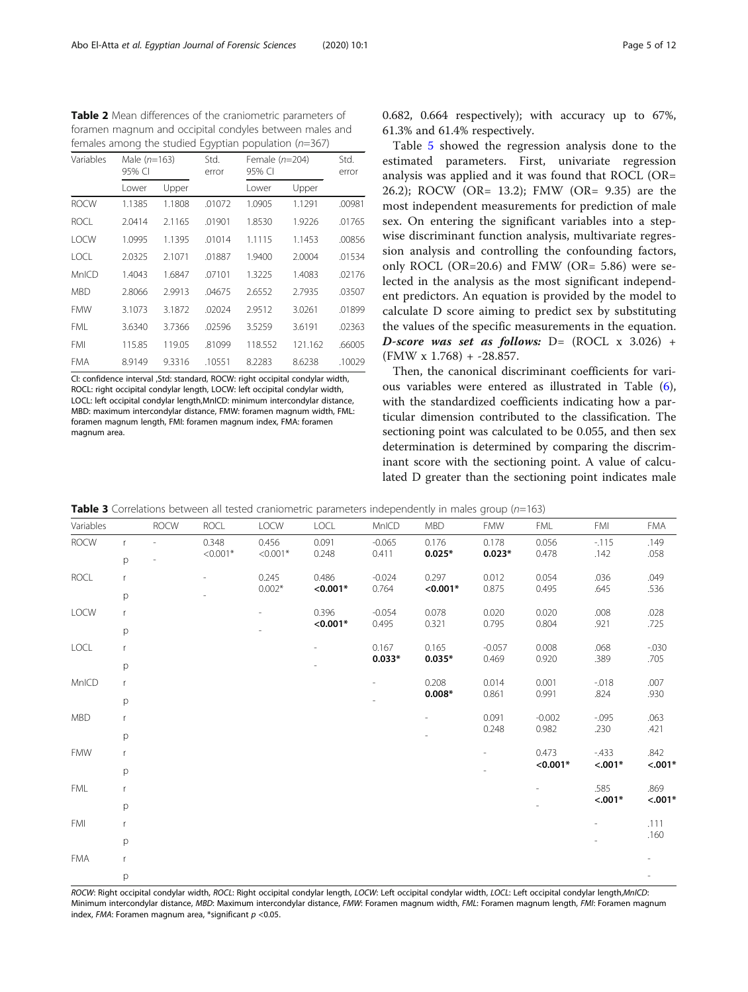<span id="page-4-0"></span>

| Table 2 Mean differences of the craniometric parameters of |
|------------------------------------------------------------|
| foramen magnum and occipital condyles between males and    |
| females among the studied Egyptian population $(n=367)$    |

| Variables   | Male $(n=163)$<br>95% CI |        | Std.<br>error | Female $(n=204)$<br>95% CI |         | Std.<br>error |
|-------------|--------------------------|--------|---------------|----------------------------|---------|---------------|
|             | Lower                    | Upper  |               | Lower                      | Upper   |               |
| <b>ROCW</b> | 1.1385                   | 1.1808 | .01072        | 1.0905                     | 1.1291  | .00981        |
| <b>ROCL</b> | 2.0414                   | 2.1165 | .01901        | 1.8530                     | 1.9226  | .01765        |
| <b>LOCW</b> | 1.0995                   | 1.1395 | .01014        | 1.1115                     | 1.1453  | .00856        |
| <b>LOCL</b> | 2.0325                   | 2.1071 | .01887        | 1.9400                     | 2.0004  | .01534        |
| MnICD       | 1.4043                   | 1.6847 | .07101        | 1.3225                     | 1.4083  | .02176        |
| <b>MBD</b>  | 2.8066                   | 2.9913 | .04675        | 2.6552                     | 2.7935  | .03507        |
| <b>FMW</b>  | 3.1073                   | 3.1872 | .02024        | 2.9512                     | 3.0261  | .01899        |
| FMI         | 3.6340                   | 3.7366 | .02596        | 3.5259                     | 3.6191  | .02363        |
| <b>FMI</b>  | 115.85                   | 119.05 | .81099        | 118.552                    | 121.162 | .66005        |
| <b>FMA</b>  | 8.9149                   | 9.3316 | .10551        | 8.2283                     | 8.6238  | .10029        |

CI: confidence interval ,Std: standard, ROCW: right occipital condylar width, ROCL: right occipital condylar length, LOCW: left occipital condylar width, LOCL: left occipital condylar length,MnICD: minimum intercondylar distance, MBD: maximum intercondylar distance, FMW: foramen magnum width, FML: foramen magnum length, FMI: foramen magnum index, FMA: foramen magnum area.

0.682, 0.664 respectively); with accuracy up to 67%, 61.3% and 61.4% respectively.

Table [5](#page-6-0) showed the regression analysis done to the estimated parameters. First, univariate regression analysis was applied and it was found that ROCL (OR= 26.2); ROCW (OR= 13.2); FMW (OR= 9.35) are the most independent measurements for prediction of male sex. On entering the significant variables into a stepwise discriminant function analysis, multivariate regression analysis and controlling the confounding factors, only ROCL (OR=20.6) and FMW (OR= 5.86) were selected in the analysis as the most significant independent predictors. An equation is provided by the model to calculate D score aiming to predict sex by substituting the values of the specific measurements in the equation. D-score was set as follows:  $D=$  (ROCL x 3.026) +  $(FMW x 1.768) + -28.857.$ 

Then, the canonical discriminant coefficients for various variables were entered as illustrated in Table [\(6](#page-6-0)), with the standardized coefficients indicating how a particular dimension contributed to the classification. The sectioning point was calculated to be 0.055, and then sex determination is determined by comparing the discriminant score with the sectioning point. A value of calculated D greater than the sectioning point indicates male

| Variables   |    | <b>ROCW</b> | <b>ROCL</b> | LOCW       | <b>LOCL</b> | MnICD    | <b>MBD</b> | <b>FMW</b>               | <b>FML</b> | FMI       | <b>FMA</b> |
|-------------|----|-------------|-------------|------------|-------------|----------|------------|--------------------------|------------|-----------|------------|
| ROCW        | r  |             | 0.348       | 0.456      | 0.091       | $-0.065$ | 0.176      | 0.178                    | 0.056      | $-115$    | .149       |
|             | p  |             | $< 0.001*$  | $< 0.001*$ | 0.248       | 0.411    | $0.025*$   | $0.023*$                 | 0.478      | .142      | .058       |
| <b>ROCL</b> | r  |             |             | 0.245      | 0.486       | $-0.024$ | 0.297      | 0.012                    | 0.054      | .036      | .049       |
|             | p  |             |             | $0.002*$   | $< 0.001*$  | 0.764    | $< 0.001*$ | 0.875                    | 0.495      | .645      | .536       |
| <b>LOCW</b> | r. |             |             |            | 0.396       | $-0.054$ | 0.078      | 0.020                    | 0.020      | .008      | .028       |
|             | р  |             |             |            | $< 0.001*$  | 0.495    | 0.321      | 0.795                    | 0.804      | .921      | .725       |
| <b>LOCL</b> | r. |             |             |            |             | 0.167    | 0.165      | $-0.057$                 | 0.008      | .068      | $-0.030$   |
|             | p  |             |             |            | ٠           | $0.033*$ | $0.035*$   | 0.469                    | 0.920      | .389      | .705       |
| MnICD       | r  |             |             |            |             |          | 0.208      | 0.014                    | 0.001      | $-0.018$  | .007       |
|             | p  |             |             |            |             |          | $0.008*$   | 0.861                    | 0.991      | .824      | .930       |
| <b>MBD</b>  | r  |             |             |            |             |          |            | 0.091                    | $-0.002$   | $-0.095$  | .063       |
|             | p  |             |             |            |             |          |            | 0.248                    | 0.982      | .230      | .421       |
| <b>FMW</b>  | r  |             |             |            |             |          |            | $\overline{\phantom{a}}$ | 0.473      | $-433$    | .842       |
|             | p  |             |             |            |             |          |            |                          | $< 0.001*$ | $< .001*$ | $< .001*$  |
| <b>FML</b>  | r  |             |             |            |             |          |            |                          |            | .585      | .869       |
|             | p  |             |             |            |             |          |            |                          |            | $< .001*$ | $< .001*$  |
| FMI         | r. |             |             |            |             |          |            |                          |            |           | .111       |
|             | р  |             |             |            |             |          |            |                          |            |           | .160       |
| <b>FMA</b>  | r  |             |             |            |             |          |            |                          |            |           |            |
|             | р  |             |             |            |             |          |            |                          |            |           |            |

**Table 3** Correlations between all tested craniometric parameters independently in males group  $(n=163)$ 

ROCW: Right occipital condylar width, ROCL: Right occipital condylar length, LOCW: Left occipital condylar length,MnICD: Left occipital condylar length,MnICD: Minimum intercondylar distance, MBD: Maximum intercondylar distance, FMW: Foramen magnum width, FML: Foramen magnum length, FMI: Foramen magnum index, FMA: Foramen magnum area, \*significant  $p < 0.05$ .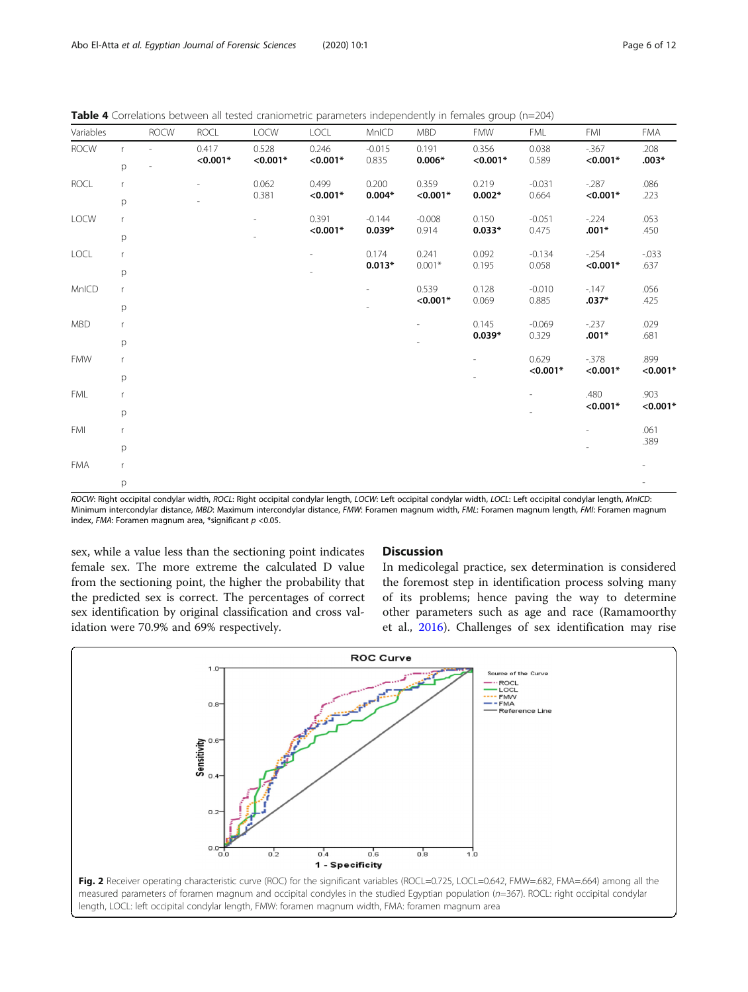<span id="page-5-0"></span>

| Table 4 Correlations between all tested craniometric parameters independently in females group (n=204) |  |  |  |  |
|--------------------------------------------------------------------------------------------------------|--|--|--|--|
|--------------------------------------------------------------------------------------------------------|--|--|--|--|

| Variables   |              | <b>ROCW</b> | <b>ROCL</b>         | <b>LOCW</b>         | <b>LOCL</b>              | MnICD             | <b>MBD</b>               | <b>FMW</b>          | <b>FML</b>        | FMI                  | <b>FMA</b>      |
|-------------|--------------|-------------|---------------------|---------------------|--------------------------|-------------------|--------------------------|---------------------|-------------------|----------------------|-----------------|
| <b>ROCW</b> | $\mathsf{r}$ |             | 0.417<br>$< 0.001*$ | 0.528<br>$< 0.001*$ | 0.246<br>$< 0.001*$      | $-0.015$<br>0.835 | 0.191<br>$0.006*$        | 0.356<br>$< 0.001*$ | 0.038<br>0.589    | $-367$<br>$< 0.001*$ | .208<br>$.003*$ |
|             | p            |             |                     |                     |                          |                   |                          |                     |                   |                      |                 |
| <b>ROCL</b> | $\mathsf{r}$ |             |                     | 0.062<br>0.381      | 0.499<br>$< 0.001*$      | 0.200<br>$0.004*$ | 0.359<br>$< 0.001*$      | 0.219<br>$0.002*$   | $-0.031$<br>0.664 | $-287$<br>$< 0.001*$ | .086<br>.223    |
|             | p            |             |                     |                     |                          |                   |                          |                     |                   |                      |                 |
| <b>LOCW</b> | r            |             |                     |                     | 0.391                    | $-0.144$          | $-0.008$                 | 0.150               | $-0.051$          | $-224$               | .053            |
|             | p            |             |                     |                     | $< 0.001*$               | $0.039*$          | 0.914                    | $0.033*$            | 0.475             | $.001*$              | .450            |
| <b>LOCL</b> | $\mathsf{r}$ |             |                     |                     | $\overline{\phantom{a}}$ | 0.174             | 0.241                    | 0.092               | $-0.134$          | $-254$               | $-0.033$        |
|             | p            |             |                     |                     |                          | $0.013*$          | $0.001*$                 | 0.195               | 0.058             | $< 0.001*$           | .637            |
| MnICD       | $\mathsf{r}$ |             |                     |                     |                          |                   | 0.539                    | 0.128               | $-0.010$          | $-147$               | .056            |
|             | p            |             |                     |                     |                          |                   | $< 0.001*$               | 0.069               | 0.885             | $.037*$              | .425            |
| <b>MBD</b>  | $\mathsf{r}$ |             |                     |                     |                          |                   | $\overline{\phantom{a}}$ | 0.145               | $-0.069$          | $-237$               | .029            |
|             | p            |             |                     |                     |                          |                   |                          | $0.039*$            | 0.329             | $.001*$              | .681            |
| <b>FMW</b>  | $\mathsf{r}$ |             |                     |                     |                          |                   |                          |                     | 0.629             | $-378$               | .899            |
|             | p            |             |                     |                     |                          |                   |                          |                     | $< 0.001*$        | $< 0.001*$           | $< 0.001*$      |
| <b>FML</b>  | r            |             |                     |                     |                          |                   |                          |                     |                   | .480                 | .903            |
|             | p            |             |                     |                     |                          |                   |                          |                     |                   | $< 0.001*$           | $< 0.001*$      |
| FMI         | $\mathsf{r}$ |             |                     |                     |                          |                   |                          |                     |                   |                      | .061            |
|             | p            |             |                     |                     |                          |                   |                          |                     |                   |                      | .389            |
| <b>FMA</b>  | $\mathsf{r}$ |             |                     |                     |                          |                   |                          |                     |                   |                      |                 |
|             | $\mathsf{p}$ |             |                     |                     |                          |                   |                          |                     |                   |                      |                 |

ROCW: Right occipital condylar width, ROCL: Right occipital condylar length, LOCW: Left occipital condylar width, LOCL: Left occipital condylar length, MnICD: Minimum intercondylar distance, MBD: Maximum intercondylar distance, FMW: Foramen magnum width, FML: Foramen magnum length, FMI: Foramen magnum index, FMA: Foramen magnum area, \*significant  $p < 0.05$ .

sex, while a value less than the sectioning point indicates female sex. The more extreme the calculated D value from the sectioning point, the higher the probability that the predicted sex is correct. The percentages of correct sex identification by original classification and cross validation were 70.9% and 69% respectively.

#### **Discussion**

In medicolegal practice, sex determination is considered the foremost step in identification process solving many of its problems; hence paving the way to determine other parameters such as age and race (Ramamoorthy et al., [2016](#page-11-0)). Challenges of sex identification may rise

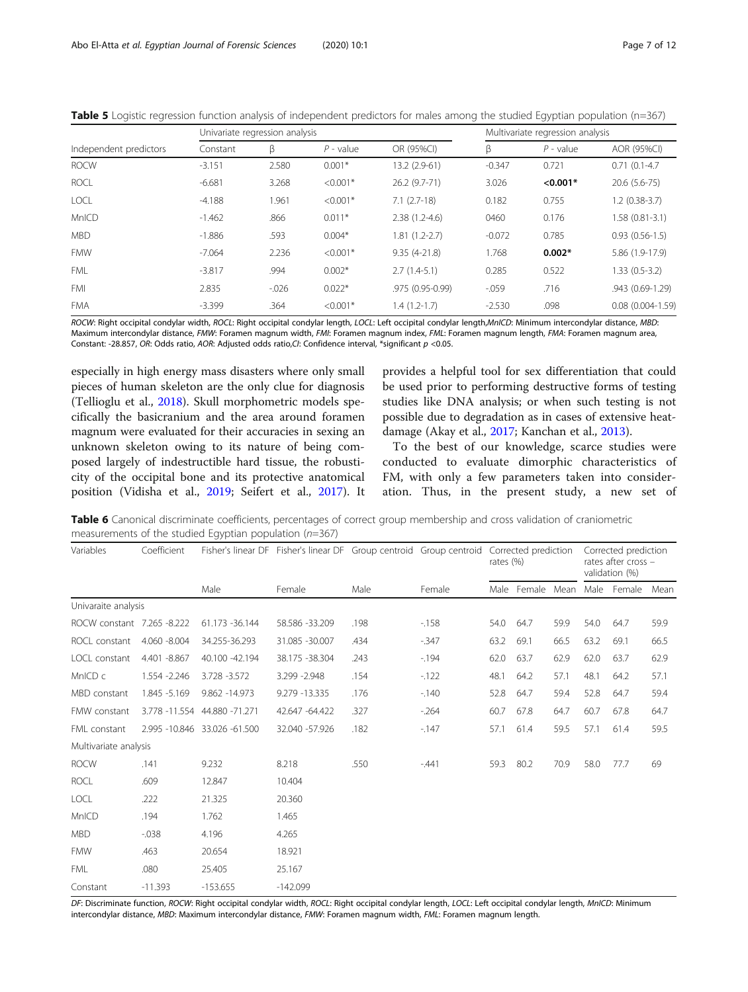<span id="page-6-0"></span>

| Table 5 Logistic regression function analysis of independent predictors for males among the studied Egyptian population (n=367) |  |  |  |  |
|---------------------------------------------------------------------------------------------------------------------------------|--|--|--|--|
|---------------------------------------------------------------------------------------------------------------------------------|--|--|--|--|

|                        |          | Univariate regression analysis |             |                   |          | Multivariate regression analysis |                    |
|------------------------|----------|--------------------------------|-------------|-------------------|----------|----------------------------------|--------------------|
| Independent predictors | Constant | β                              | $P$ - value | OR (95%CI)        | β        | $P$ - value                      | AOR (95%CI)        |
| <b>ROCW</b>            | $-3.151$ | 2.580                          | $0.001*$    | 13.2 (2.9-61)     | $-0.347$ | 0.721                            | $0.71(0.1-4.7)$    |
| <b>ROCL</b>            | $-6.681$ | 3.268                          | $< 0.001*$  | 26.2 (9.7-71)     | 3.026    | $< 0.001*$                       | 20.6 (5.6-75)      |
| <b>LOCL</b>            | $-4.188$ | 1.961                          | $< 0.001*$  | $7.1(2.7-18)$     | 0.182    | 0.755                            | $1.2(0.38-3.7)$    |
| MnICD                  | $-1.462$ | .866                           | $0.011*$    | $2.38(1.2 - 4.6)$ | 0460     | 0.176                            | 1.58 (0.81-3.1)    |
| <b>MBD</b>             | $-1.886$ | .593                           | $0.004*$    | $1.81(1.2-2.7)$   | $-0.072$ | 0.785                            | $0.93(0.56-1.5)$   |
| <b>FMW</b>             | $-7.064$ | 2.236                          | $< 0.001*$  | $9.35(4-21.8)$    | 1.768    | $0.002*$                         | 5.86 (1.9-17.9)    |
| <b>FML</b>             | $-3.817$ | .994                           | $0.002*$    | $2.7(1.4-5.1)$    | 0.285    | 0.522                            | 1.33 (0.5-3.2)     |
| <b>FMI</b>             | 2.835    | $-0.026$                       | $0.022*$    | .975 (0.95-0.99)  | $-0.059$ | .716                             | .943 (0.69-1.29)   |
| <b>FMA</b>             | $-3.399$ | .364                           | $< 0.001*$  | $1.4(1.2-1.7)$    | $-2.530$ | .098                             | $0.08(0.004-1.59)$ |

ROCW: Right occipital condylar width, ROCL: Right occipital condylar length, LOCL: Left occipital condylar length,MnICD: Minimum intercondylar distance, MBD: Maximum intercondylar distance, FMW: Foramen magnum width, FMI: Foramen magnum index, FML: Foramen magnum length, FMA: Foramen magnum area, Constant: -28.857, OR: Odds ratio, AOR: Adjusted odds ratio, CI: Confidence interval, \*significant  $p$  <0.05.

especially in high energy mass disasters where only small pieces of human skeleton are the only clue for diagnosis (Tellioglu et al., [2018](#page-11-0)). Skull morphometric models specifically the basicranium and the area around foramen magnum were evaluated for their accuracies in sexing an unknown skeleton owing to its nature of being composed largely of indestructible hard tissue, the robusticity of the occipital bone and its protective anatomical position (Vidisha et al., [2019](#page-11-0); Seifert et al., [2017](#page-11-0)). It

provides a helpful tool for sex differentiation that could be used prior to performing destructive forms of testing studies like DNA analysis; or when such testing is not possible due to degradation as in cases of extensive heatdamage (Akay et al., [2017](#page-10-0); Kanchan et al., [2013](#page-10-0)).

To the best of our knowledge, scarce studies were conducted to evaluate dimorphic characteristics of FM, with only a few parameters taken into consideration. Thus, in the present study, a new set of

Table 6 Canonical discriminate coefficients, percentages of correct group membership and cross validation of craniometric measurements of the studied Egyptian population  $(n=367)$ 

| Variables                  | Coefficient   |                              | Fisher's linear DF Fisher's linear DF Group centroid Group centroid Corrected prediction |      |        | rates (%) |             |      |      | Corrected prediction<br>rates after cross $-$<br>validation (%) |      |
|----------------------------|---------------|------------------------------|------------------------------------------------------------------------------------------|------|--------|-----------|-------------|------|------|-----------------------------------------------------------------|------|
|                            |               | Male                         | Female                                                                                   | Male | Female |           | Male Female | Mean |      | Male Female                                                     | Mear |
| Univaraite analysis        |               |                              |                                                                                          |      |        |           |             |      |      |                                                                 |      |
| ROCW constant 7.265 -8.222 |               | 61.173 -36.144               | 58.586 -33.209                                                                           | .198 | $-158$ | 54.0      | 64.7        | 59.9 | 54.0 | 64.7                                                            | 59.9 |
| ROCL constant              | 4.060 -8.004  | 34.255-36.293                | 31.085 - 30.007                                                                          | .434 | $-347$ | 63.2      | 69.1        | 66.5 | 63.2 | 69.1                                                            | 66.5 |
| LOCL constant              | 4.401 -8.867  | 40.100 - 42.194              | 38.175 - 38.304                                                                          | .243 | $-194$ | 62.0      | 63.7        | 62.9 | 62.0 | 63.7                                                            | 62.9 |
| MnICD c                    | 1.554 - 2.246 | 3.728 - 3.572                | 3.299 - 2.948                                                                            | .154 | $-122$ | 48.1      | 64.2        | 57.1 | 48.1 | 64.2                                                            | 57.1 |
| MBD constant               | 1.845 - 5.169 | 9.862 - 14.973               | 9.279 - 13.335                                                                           | .176 | $-140$ | 52.8      | 64.7        | 59.4 | 52.8 | 64.7                                                            | 59.4 |
| FMW constant               |               | 3.778 -11.554 44.880 -71.271 | 42.647 -64.422                                                                           | .327 | $-264$ | 60.7      | 67.8        | 64.7 | 60.7 | 67.8                                                            | 64.7 |
| FML constant               |               | 2.995 -10.846 33.026 -61.500 | 32.040 - 57.926                                                                          | .182 | $-147$ | 57.1      | 61.4        | 59.5 | 57.1 | 61.4                                                            | 59.5 |
| Multivariate analysis      |               |                              |                                                                                          |      |        |           |             |      |      |                                                                 |      |
| <b>ROCW</b>                | .141          | 9.232                        | 8.218                                                                                    | .550 | $-441$ | 59.3      | 80.2        | 70.9 | 58.0 | 77.7                                                            | 69   |
| <b>ROCL</b>                | .609          | 12.847                       | 10.404                                                                                   |      |        |           |             |      |      |                                                                 |      |
| <b>LOCL</b>                | .222          | 21.325                       | 20.360                                                                                   |      |        |           |             |      |      |                                                                 |      |
| MnICD                      | .194          | 1.762                        | 1.465                                                                                    |      |        |           |             |      |      |                                                                 |      |
| <b>MBD</b>                 | $-0.038$      | 4.196                        | 4.265                                                                                    |      |        |           |             |      |      |                                                                 |      |
| <b>FMW</b>                 | .463          | 20.654                       | 18.921                                                                                   |      |        |           |             |      |      |                                                                 |      |
| <b>FML</b>                 | .080          | 25.405                       | 25.167                                                                                   |      |        |           |             |      |      |                                                                 |      |
| Constant                   | $-11.393$     | $-153.655$                   | $-142.099$                                                                               |      |        |           |             |      |      |                                                                 |      |

DF: Discriminate function, ROCW: Right occipital condylar width, ROCL: Right occipital condylar length, LOCL: Left occipital condylar length, MnICD: Minimum intercondylar distance, MBD: Maximum intercondylar distance, FMW: Foramen magnum width, FML: Foramen magnum length.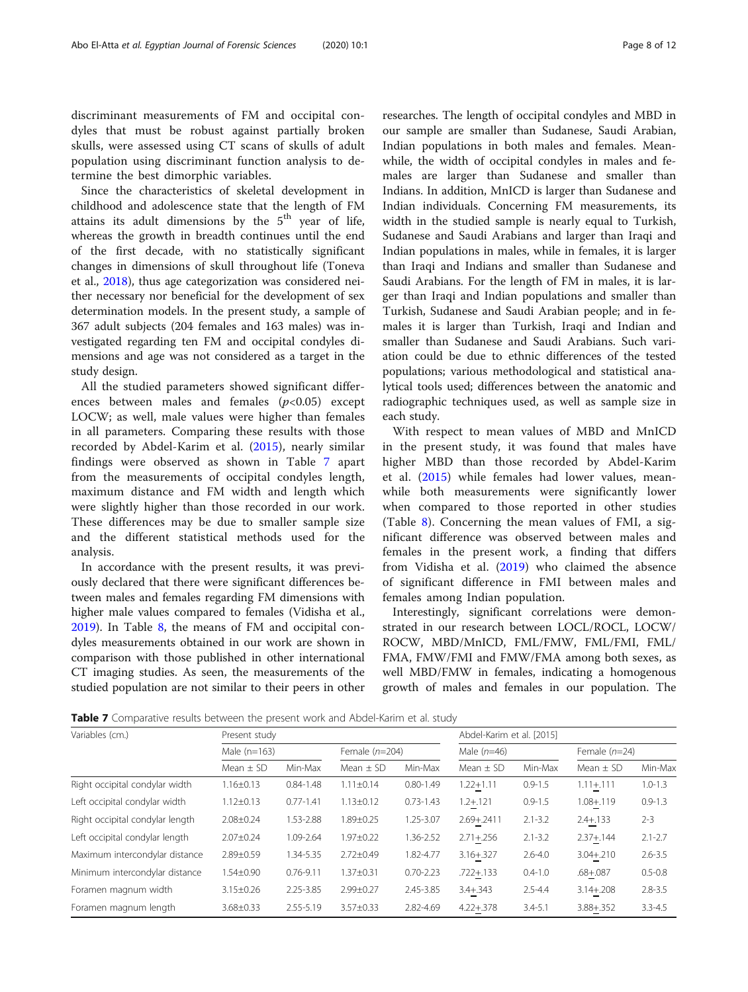discriminant measurements of FM and occipital condyles that must be robust against partially broken skulls, were assessed using CT scans of skulls of adult population using discriminant function analysis to determine the best dimorphic variables.

Since the characteristics of skeletal development in childhood and adolescence state that the length of FM attains its adult dimensions by the  $5<sup>th</sup>$  year of life, whereas the growth in breadth continues until the end of the first decade, with no statistically significant changes in dimensions of skull throughout life (Toneva et al., [2018\)](#page-11-0), thus age categorization was considered neither necessary nor beneficial for the development of sex determination models. In the present study, a sample of 367 adult subjects (204 females and 163 males) was investigated regarding ten FM and occipital condyles dimensions and age was not considered as a target in the study design.

All the studied parameters showed significant differences between males and females  $(p<0.05)$  except LOCW; as well, male values were higher than females in all parameters. Comparing these results with those recorded by Abdel-Karim et al. ([2015\)](#page-10-0), nearly similar findings were observed as shown in Table 7 apart from the measurements of occipital condyles length, maximum distance and FM width and length which were slightly higher than those recorded in our work. These differences may be due to smaller sample size and the different statistical methods used for the analysis.

In accordance with the present results, it was previously declared that there were significant differences between males and females regarding FM dimensions with higher male values compared to females (Vidisha et al., [2019](#page-11-0)). In Table [8,](#page-8-0) the means of FM and occipital condyles measurements obtained in our work are shown in comparison with those published in other international CT imaging studies. As seen, the measurements of the studied population are not similar to their peers in other researches. The length of occipital condyles and MBD in our sample are smaller than Sudanese, Saudi Arabian, Indian populations in both males and females. Meanwhile, the width of occipital condyles in males and females are larger than Sudanese and smaller than Indians. In addition, MnICD is larger than Sudanese and Indian individuals. Concerning FM measurements, its width in the studied sample is nearly equal to Turkish, Sudanese and Saudi Arabians and larger than Iraqi and Indian populations in males, while in females, it is larger than Iraqi and Indians and smaller than Sudanese and Saudi Arabians. For the length of FM in males, it is larger than Iraqi and Indian populations and smaller than Turkish, Sudanese and Saudi Arabian people; and in females it is larger than Turkish, Iraqi and Indian and smaller than Sudanese and Saudi Arabians. Such variation could be due to ethnic differences of the tested populations; various methodological and statistical analytical tools used; differences between the anatomic and radiographic techniques used, as well as sample size in each study.

With respect to mean values of MBD and MnICD in the present study, it was found that males have higher MBD than those recorded by Abdel-Karim et al. [\(2015](#page-10-0)) while females had lower values, meanwhile both measurements were significantly lower when compared to those reported in other studies (Table [8\)](#page-8-0). Concerning the mean values of FMI, a significant difference was observed between males and females in the present work, a finding that differs from Vidisha et al. [\(2019](#page-11-0)) who claimed the absence of significant difference in FMI between males and females among Indian population.

Interestingly, significant correlations were demonstrated in our research between LOCL/ROCL, LOCW/ ROCW, MBD/MnICD, FML/FMW, FML/FMI, FML/ FMA, FMW/FMI and FMW/FMA among both sexes, as well MBD/FMW in females, indicating a homogenous growth of males and females in our population. The

Table 7 Comparative results between the present work and Abdel-Karim et al. study

| Variables (cm.)                 | Present study   |               |                  |               | Abdel-Karim et al. [2015] |             |                 |             |
|---------------------------------|-----------------|---------------|------------------|---------------|---------------------------|-------------|-----------------|-------------|
|                                 | Male $(n=163)$  |               | Female $(n=204)$ |               | Male $(n=46)$             |             | Female $(n=24)$ |             |
|                                 | Mean $\pm$ SD   | Min-Max       | Mean $\pm$ SD    | Min-Max       | Mean $\pm$ SD             | Min-Max     | Mean $\pm$ SD   | Min-Max     |
| Right occipital condylar width  | $1.16 \pm 0.13$ | $0.84 - 1.48$ | $1.11 \pm 0.14$  | $0.80 - 1.49$ | $1.22 + 1.11$             | $0.9 - 1.5$ | $1.11 + .111$   | $1.0 - 1.3$ |
| Left occipital condylar width   | $1.12 \pm 0.13$ | $0.77 - 1.41$ | $1.13 \pm 0.12$  | $0.73 - 1.43$ | $1.2 + .121$              | $0.9 - 1.5$ | 1.08+.119       | $0.9 - 1.3$ |
| Right occipital condylar length | $2.08 \pm 0.24$ | 1.53-2.88     | 1.89±0.25        | 1.25-3.07     | $2.69 + .2411$            | $2.1 - 3.2$ | $2.4 + .133$    | $2 - 3$     |
| Left occipital condylar length  | $2.07 \pm 0.24$ | 1.09-2.64     | $1.97 \pm 0.22$  | 1.36-2.52     | $2.71 + 0.256$            | $2.1 - 3.2$ | $2.37 + 144$    | $2.1 - 2.7$ |
| Maximum intercondylar distance  | 2.89±0.59       | 1.34-5.35     | $2.72 \pm 0.49$  | 1.82-4.77     | $3.16 + .327$             | $2.6 - 4.0$ | $3.04 + .210$   | $2.6 - 3.5$ |
| Minimum intercondylar distance  | $1.54 \pm 0.90$ | $0.76 - 9.11$ | $1.37 + 0.31$    | $0.70 - 2.23$ | $.722 + .133$             | $0.4 - 1.0$ | $.68 + .087$    | $0.5 - 0.8$ |
| Foramen magnum width            | $3.15 \pm 0.26$ | 2.25-3.85     | $2.99 \pm 0.27$  | 2.45-3.85     | $3.4 + .343$              | $2.5 - 4.4$ | $3.14 + .208$   | $2.8 - 3.5$ |
| Foramen magnum length           | $3.68 \pm 0.33$ | 2.55-5.19     | $3.57 \pm 0.33$  | 2.82-4.69     | $4.22 + .378$             | $3.4 - 5.1$ | $3.88 + .352$   | $3.3 - 4.5$ |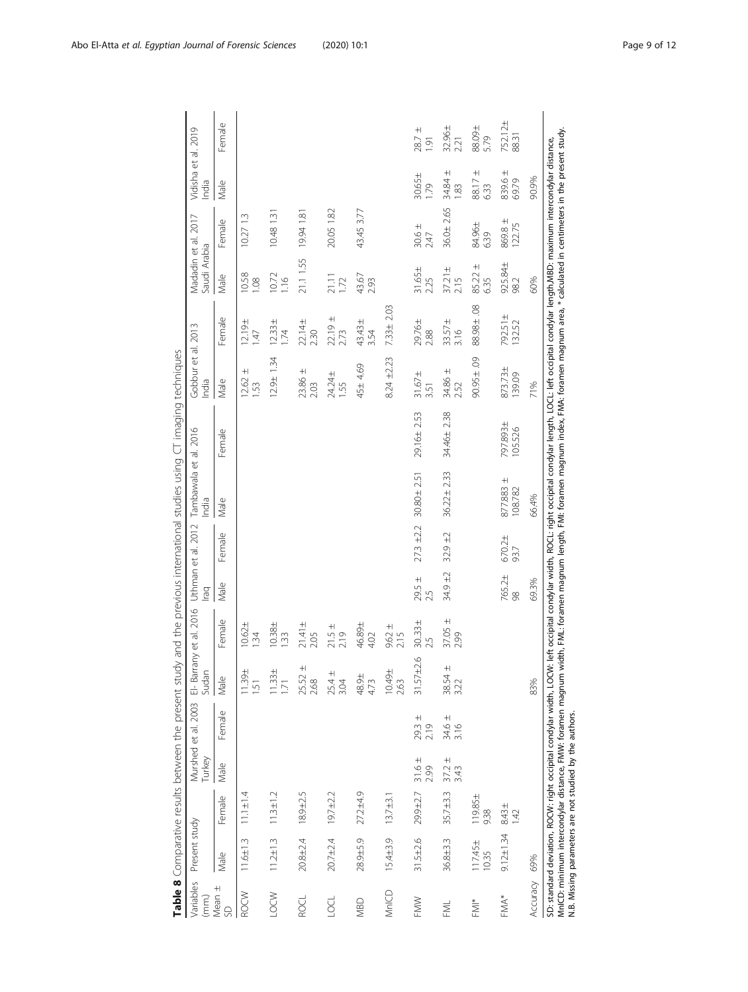<span id="page-8-0"></span>

|                   |                               |                                                                                                                       |                    |                     |                               |                         |                         |                    |                                | Table 8 Comparative results between the present study and the previous international studies using CT imaging techniques                                                                                                                                                                                                                           |                             |                                 |                                     |                    |                              |                  |
|-------------------|-------------------------------|-----------------------------------------------------------------------------------------------------------------------|--------------------|---------------------|-------------------------------|-------------------------|-------------------------|--------------------|--------------------------------|----------------------------------------------------------------------------------------------------------------------------------------------------------------------------------------------------------------------------------------------------------------------------------------------------------------------------------------------------|-----------------------------|---------------------------------|-------------------------------------|--------------------|------------------------------|------------------|
| Variables<br>(mm) | Present study                 |                                                                                                                       | Turkey             | Murshed et al. 2003 | Sudan                         | El-Barrany et al. 2016  | pel                     | Uthman et al. 2012 | Tambawala et al. 2016<br>India |                                                                                                                                                                                                                                                                                                                                                    | Gobbur et al. 2013<br>India |                                 | Madadin et al. 2017<br>Saudi Arabia |                    | Vidisha et al. 2019<br>India |                  |
| Mean ±<br>SD      | Male                          | Female                                                                                                                | Male               | Female              | Male                          | Female                  | Male                    | Female             | Male                           | Female                                                                                                                                                                                                                                                                                                                                             | Male                        | Female                          | Male                                | Female             | Male                         | Female           |
| <b>ROCW</b>       | $11.6 \pm 1.3$                | $11.1 \pm 1.4$                                                                                                        |                    |                     | 11.39±<br>$\overline{51}$     | $10.62 +$<br>$\ddot{3}$ |                         |                    |                                |                                                                                                                                                                                                                                                                                                                                                    | $+$<br>12.62<br>.53         | 12.19 <sup>±</sup><br>147       | $\frac{10.58}{1.08}$                | 10.2713            |                              |                  |
| LOCW              | $11.2 \pm 1.3$ $11.3 \pm 1.2$ |                                                                                                                       |                    |                     | $11.33 \pm$<br>$\overline{1}$ | $10.38 +$<br>$\ddot{3}$ |                         |                    |                                |                                                                                                                                                                                                                                                                                                                                                    | $12.9 \pm 1.34$             | $12.33 \pm$<br>$\overline{174}$ | 10.72<br>$\frac{16}{11}$            | 10.48 1.3          |                              |                  |
| <b>ROCL</b>       |                               | 208±2.4 18.9±2.5                                                                                                      |                    |                     | $\pm$<br>25.52<br>2.68        | $21.41 \pm$<br>2.05     |                         |                    |                                |                                                                                                                                                                                                                                                                                                                                                    | $23.86 \pm$<br>2.03         | $22.14 \pm 2.30$                | 21.1 1.55                           | 19.94 1.81         |                              |                  |
| LOCL              | $20.7 + 2.4$                  | $19.7 + 2.2$                                                                                                          |                    |                     | $25.4 \pm$<br>3.04            | $21.5 + 2.19$           |                         |                    |                                |                                                                                                                                                                                                                                                                                                                                                    | 24.24±<br><b>1.55</b>       | $22.19 \pm$<br>2.73             | 21.11                               | 20.05 1.82         |                              |                  |
| QBM               | 28.9±5.9                      | $27.2 + 4.9$                                                                                                          |                    |                     | 48.9±<br>4.73                 | 46.89±<br>4.02          |                         |                    |                                |                                                                                                                                                                                                                                                                                                                                                    | 45± 4.69                    | 43.43±<br>3.54                  | 43.67<br>2.93                       | 43.45 3.77         |                              |                  |
| MnICD             | $15.4 \pm 3.9$ $13.7 \pm 3.1$ |                                                                                                                       |                    |                     | 10.49±<br>2.63                | $9.62 \pm$<br>2.15      |                         |                    |                                |                                                                                                                                                                                                                                                                                                                                                    | $8.24 \pm 2.23$             | $7.33 \pm 2.03$                 |                                     |                    |                              |                  |
| FMW               | 31.5 ± 2.6                    | 29.9±2.7                                                                                                              | $31.6 \pm$<br>2.99 | $29.3 + 219$        | 42.6<br>31.57                 | $30.33 \pm$<br>2.5      | $29.5 \pm$<br>2.5       | $27.3 \pm 2.2$     | $30.80 + 2.51$                 | 29.16±2.53                                                                                                                                                                                                                                                                                                                                         | $31.67 +$<br>3.51           | 29.76±<br>2.88                  | 31.65±<br>2.25                      | $30.6 \pm$<br>2.47 | 30.65±<br>1.79               | 28.7 ±<br>1.91   |
| FML               | $36.8 + 3.3$                  | $35.7 + 3.3$                                                                                                          | $37.2 \pm$<br>3.43 | $34.6 \pm 3.16$     | $\pm$<br>38.54<br>3.22        | $+$<br>37.05<br>2.99    | 34.9 ±2                 | $32.9 + 2$         | $36.22 \pm 2.33$               | 34.46± 2.38                                                                                                                                                                                                                                                                                                                                        | $34.86 \pm$<br>2.52         | $33.57 \pm$<br>3.16             | $37.21 \pm 2.15$                    | $36.0 \pm 2.65$    | $\pm$<br>34.84<br>1.83       | $32.96 \pm 2.21$ |
| FM*               | 117.45±<br>10.35              | 119.85±<br>9.38                                                                                                       |                    |                     |                               |                         |                         |                    |                                |                                                                                                                                                                                                                                                                                                                                                    | 90.95±.09                   | 88.98±.08                       | $85.22 \pm$<br>635                  | 84.96±<br>639      | $88.17 \pm$<br>6.33          | 88.09±<br>5.79   |
| $FMA^*$           | $9.12 \pm 1.34$               | 8.43±<br>$\overline{4}$                                                                                               |                    |                     |                               |                         | 765.2±<br>$\frac{8}{2}$ | 670.2±<br>93.7     | $877.883 \pm$<br>108.782       | 797.893±<br>105.526                                                                                                                                                                                                                                                                                                                                | 873.73±<br>139.09           | 792.51±<br>132.52               | 925.84±<br>982                      | 869.8 ±<br>122.75  | 839.6 ±<br>69.79             | 752.12±<br>88.31 |
| Accuracy          | 69%                           |                                                                                                                       |                    |                     | 83%                           |                         | 69.3%                   |                    | 66.4%                          |                                                                                                                                                                                                                                                                                                                                                    | 71%                         |                                 | 60%                                 |                    | 90.9%                        |                  |
|                   |                               | MnICD: minimum intercondylar distance, FMW: foramen magnum<br>N.B. Missing parameters are not studied by the authors. |                    |                     |                               |                         |                         |                    |                                | width, FML: foramen magnum length, FMI: foramen magnum index, FMA: foramen magnum area, * calculated in centimeters in the present study.<br>SD: standard deviation, ROOW: right occipital condylar width, LOOW: left occipital condylar width, ROCL: right occipital condylar left occipital condylar length,MBD: maximum intercondylar distance, |                             |                                 |                                     |                    |                              |                  |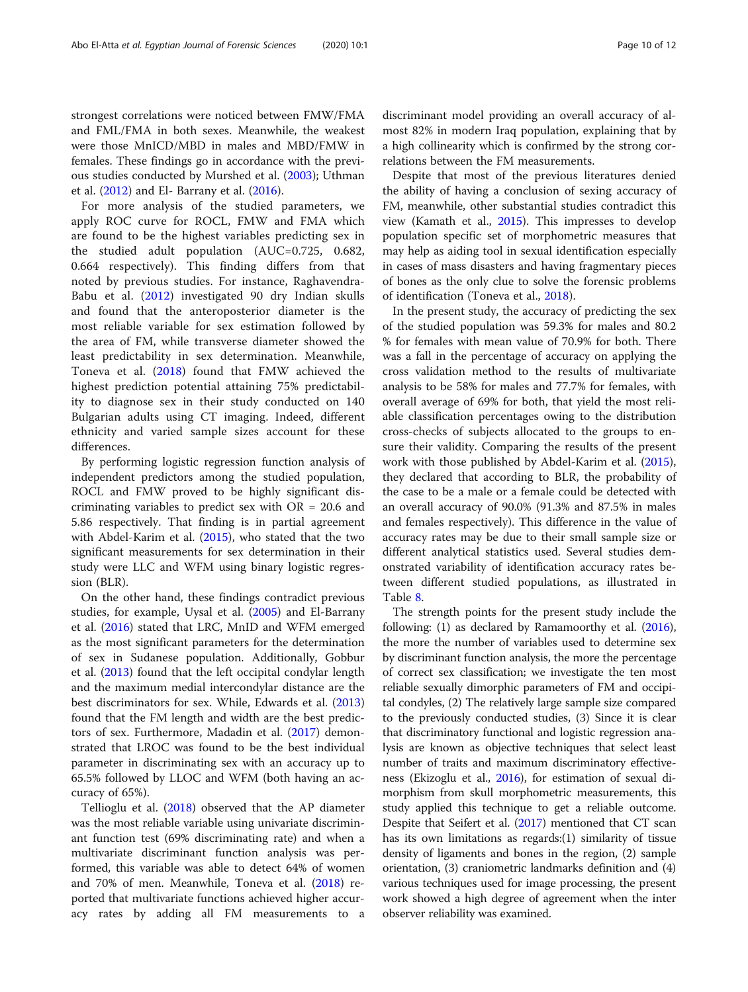strongest correlations were noticed between FMW/FMA and FML/FMA in both sexes. Meanwhile, the weakest were those MnICD/MBD in males and MBD/FMW in females. These findings go in accordance with the previous studies conducted by Murshed et al. ([2003\)](#page-10-0); Uthman et al. [\(2012](#page-11-0)) and El- Barrany et al. [\(2016\)](#page-10-0).

For more analysis of the studied parameters, we apply ROC curve for ROCL, FMW and FMA which are found to be the highest variables predicting sex in the studied adult population (AUC=0.725, 0.682, 0.664 respectively). This finding differs from that noted by previous studies. For instance, Raghavendra-Babu et al. [\(2012](#page-11-0)) investigated 90 dry Indian skulls and found that the anteroposterior diameter is the most reliable variable for sex estimation followed by the area of FM, while transverse diameter showed the least predictability in sex determination. Meanwhile, Toneva et al. ([2018\)](#page-11-0) found that FMW achieved the highest prediction potential attaining 75% predictability to diagnose sex in their study conducted on 140 Bulgarian adults using CT imaging. Indeed, different ethnicity and varied sample sizes account for these differences.

By performing logistic regression function analysis of independent predictors among the studied population, ROCL and FMW proved to be highly significant discriminating variables to predict sex with OR = 20.6 and 5.86 respectively. That finding is in partial agreement with Abdel-Karim et al. [\(2015\)](#page-10-0), who stated that the two significant measurements for sex determination in their study were LLC and WFM using binary logistic regression (BLR).

On the other hand, these findings contradict previous studies, for example, Uysal et al. [\(2005\)](#page-11-0) and El-Barrany et al. ([2016](#page-10-0)) stated that LRC, MnID and WFM emerged as the most significant parameters for the determination of sex in Sudanese population. Additionally, Gobbur et al. [\(2013\)](#page-10-0) found that the left occipital condylar length and the maximum medial intercondylar distance are the best discriminators for sex. While, Edwards et al. ([2013](#page-10-0)) found that the FM length and width are the best predictors of sex. Furthermore, Madadin et al. [\(2017\)](#page-10-0) demonstrated that LROC was found to be the best individual parameter in discriminating sex with an accuracy up to 65.5% followed by LLOC and WFM (both having an accuracy of 65%).

Tellioglu et al. [\(2018\)](#page-11-0) observed that the AP diameter was the most reliable variable using univariate discriminant function test (69% discriminating rate) and when a multivariate discriminant function analysis was performed, this variable was able to detect 64% of women and 70% of men. Meanwhile, Toneva et al. [\(2018](#page-11-0)) reported that multivariate functions achieved higher accuracy rates by adding all FM measurements to a

discriminant model providing an overall accuracy of almost 82% in modern Iraq population, explaining that by a high collinearity which is confirmed by the strong correlations between the FM measurements.

Despite that most of the previous literatures denied the ability of having a conclusion of sexing accuracy of FM, meanwhile, other substantial studies contradict this view (Kamath et al., [2015](#page-10-0)). This impresses to develop population specific set of morphometric measures that may help as aiding tool in sexual identification especially in cases of mass disasters and having fragmentary pieces of bones as the only clue to solve the forensic problems of identification (Toneva et al., [2018](#page-11-0)).

In the present study, the accuracy of predicting the sex of the studied population was 59.3% for males and 80.2 % for females with mean value of 70.9% for both. There was a fall in the percentage of accuracy on applying the cross validation method to the results of multivariate analysis to be 58% for males and 77.7% for females, with overall average of 69% for both, that yield the most reliable classification percentages owing to the distribution cross-checks of subjects allocated to the groups to ensure their validity. Comparing the results of the present work with those published by Abdel-Karim et al. ([2015](#page-10-0)), they declared that according to BLR, the probability of the case to be a male or a female could be detected with an overall accuracy of 90.0% (91.3% and 87.5% in males and females respectively). This difference in the value of accuracy rates may be due to their small sample size or different analytical statistics used. Several studies demonstrated variability of identification accuracy rates between different studied populations, as illustrated in Table [8.](#page-8-0)

The strength points for the present study include the following: (1) as declared by Ramamoorthy et al. [\(2016](#page-11-0)), the more the number of variables used to determine sex by discriminant function analysis, the more the percentage of correct sex classification; we investigate the ten most reliable sexually dimorphic parameters of FM and occipital condyles, (2) The relatively large sample size compared to the previously conducted studies, (3) Since it is clear that discriminatory functional and logistic regression analysis are known as objective techniques that select least number of traits and maximum discriminatory effectiveness (Ekizoglu et al., [2016](#page-10-0)), for estimation of sexual dimorphism from skull morphometric measurements, this study applied this technique to get a reliable outcome. Despite that Seifert et al. ([2017\)](#page-11-0) mentioned that CT scan has its own limitations as regards:(1) similarity of tissue density of ligaments and bones in the region, (2) sample orientation, (3) craniometric landmarks definition and (4) various techniques used for image processing, the present work showed a high degree of agreement when the inter observer reliability was examined.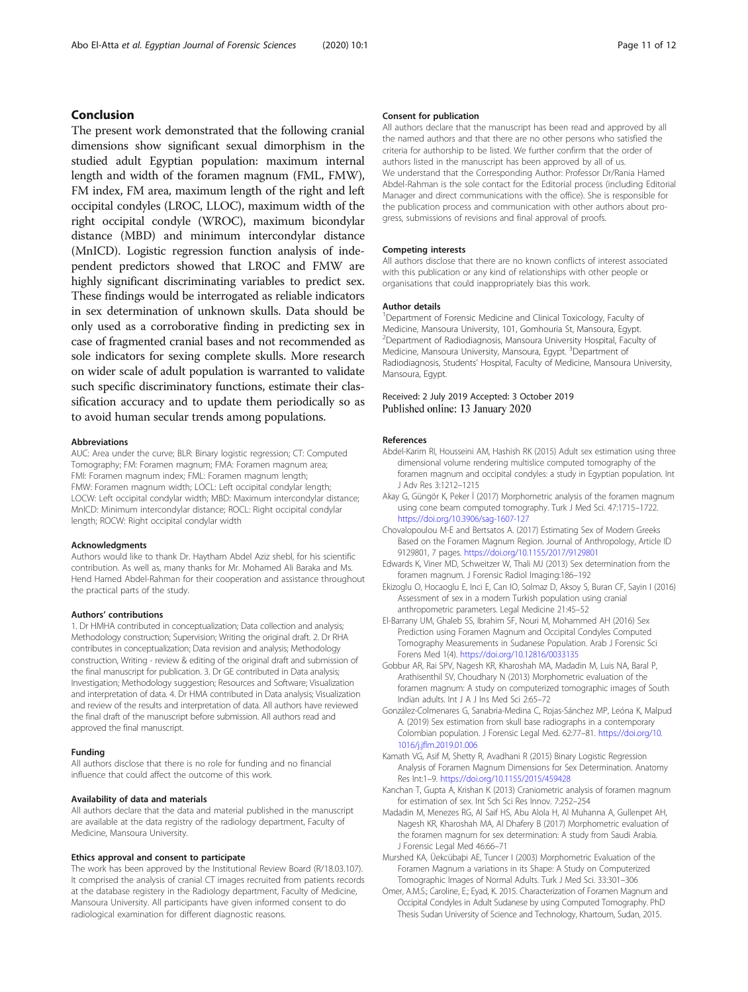# <span id="page-10-0"></span>Conclusion

The present work demonstrated that the following cranial dimensions show significant sexual dimorphism in the studied adult Egyptian population: maximum internal length and width of the foramen magnum (FML, FMW), FM index, FM area, maximum length of the right and left occipital condyles (LROC, LLOC), maximum width of the right occipital condyle (WROC), maximum bicondylar distance (MBD) and minimum intercondylar distance (MnICD). Logistic regression function analysis of independent predictors showed that LROC and FMW are highly significant discriminating variables to predict sex. These findings would be interrogated as reliable indicators in sex determination of unknown skulls. Data should be only used as a corroborative finding in predicting sex in case of fragmented cranial bases and not recommended as sole indicators for sexing complete skulls. More research on wider scale of adult population is warranted to validate such specific discriminatory functions, estimate their classification accuracy and to update them periodically so as to avoid human secular trends among populations.

#### Abbreviations

AUC: Area under the curve; BLR: Binary logistic regression; CT: Computed Tomography; FM: Foramen magnum; FMA: Foramen magnum area; FMI: Foramen magnum index; FML: Foramen magnum length; FMW: Foramen magnum width; LOCL: Left occipital condylar length; LOCW: Left occipital condylar width; MBD: Maximum intercondylar distance; MnICD: Minimum intercondylar distance; ROCL: Right occipital condylar length; ROCW: Right occipital condylar width

#### Acknowledgments

Authors would like to thank Dr. Haytham Abdel Aziz shebl, for his scientific contribution. As well as, many thanks for Mr. Mohamed Ali Baraka and Ms. Hend Hamed Abdel-Rahman for their cooperation and assistance throughout the practical parts of the study.

#### Authors' contributions

1. Dr HMHA contributed in conceptualization; Data collection and analysis; Methodology construction; Supervision; Writing the original draft. 2. Dr RHA contributes in conceptualization; Data revision and analysis; Methodology construction, Writing - review & editing of the original draft and submission of the final manuscript for publication. 3. Dr GE contributed in Data analysis; Investigation; Methodology suggestion; Resources and Software; Visualization and interpretation of data. 4. Dr HMA contributed in Data analysis; Visualization and review of the results and interpretation of data. All authors have reviewed the final draft of the manuscript before submission. All authors read and approved the final manuscript.

#### Funding

All authors disclose that there is no role for funding and no financial influence that could affect the outcome of this work.

#### Availability of data and materials

All authors declare that the data and material published in the manuscript are available at the data registry of the radiology department, Faculty of Medicine, Mansoura University.

#### Ethics approval and consent to participate

The work has been approved by the Institutional Review Board (R/18.03.107). It comprised the analysis of cranial CT images recruited from patients records at the database registery in the Radiology department, Faculty of Medicine, Mansoura University. All participants have given informed consent to do radiological examination for different diagnostic reasons.

#### Consent for publication

All authors declare that the manuscript has been read and approved by all the named authors and that there are no other persons who satisfied the criteria for authorship to be listed. We further confirm that the order of authors listed in the manuscript has been approved by all of us. We understand that the Corresponding Author: Professor Dr/Rania Hamed Abdel-Rahman is the sole contact for the Editorial process (including Editorial Manager and direct communications with the office). She is responsible for the publication process and communication with other authors about progress, submissions of revisions and final approval of proofs.

#### Competing interests

All authors disclose that there are no known conflicts of interest associated with this publication or any kind of relationships with other people or organisations that could inappropriately bias this work.

#### Author details

<sup>1</sup>Department of Forensic Medicine and Clinical Toxicology, Faculty of Medicine, Mansoura University, 101, Gomhouria St, Mansoura, Egypt. 2 Department of Radiodiagnosis, Mansoura University Hospital, Faculty of Medicine, Mansoura University, Mansoura, Egypt. <sup>3</sup>Department of Radiodiagnosis, Students' Hospital, Faculty of Medicine, Mansoura University, Mansoura, Egypt.

#### Received: 2 July 2019 Accepted: 3 October 2019 Published online: 13 January 2020

#### References

- Abdel-Karim RI, Housseini AM, Hashish RK (2015) Adult sex estimation using three dimensional volume rendering multislice computed tomography of the foramen magnum and occipital condyles: a study in Egyptian population. Int J Adv Res 3:1212–1215
- Akay G, Güngör K, Peker İ (2017) Morphometric analysis of the foramen magnum using cone beam computed tomography. Turk J Med Sci. 47:1715–1722. <https://doi.org/10.3906/sag-1607-127>
- Chovalopoulou M-E and Bertsatos A. (2017) Estimating Sex of Modern Greeks Based on the Foramen Magnum Region. Journal of Anthropology, Article ID 9129801, 7 pages. <https://doi.org/10.1155/2017/9129801>
- Edwards K, Viner MD, Schweitzer W, Thali MJ (2013) Sex determination from the foramen magnum. J Forensic Radiol Imaging:186–192
- Ekizoglu O, Hocaoglu E, Inci E, Can IO, Solmaz D, Aksoy S, Buran CF, Sayin I (2016) Assessment of sex in a modern Turkish population using cranial anthropometric parameters. Legal Medicine 21:45–52
- El-Barrany UM, Ghaleb SS, Ibrahim SF, Nouri M, Mohammed AH (2016) Sex Prediction using Foramen Magnum and Occipital Condyles Computed Tomography Measurements in Sudanese Population. Arab J Forensic Sci Forens Med 1(4). <https://doi.org/10.12816/0033135>
- Gobbur AR, Rai SPV, Nagesh KR, Kharoshah MA, Madadin M, Luis NA, Baral P, Arathisenthil SV, Choudhary N (2013) Morphometric evaluation of the foramen magnum: A study on computerized tomographic images of South Indian adults. Int J A J Ins Med Sci 2:65–72
- González-Colmenares G, Sanabria-Medina C, Rojas-Sánchez MP, Leóna K, Malpud A. (2019) Sex estimation from skull base radiographs in a contemporary Colombian population. J Forensic Legal Med. 62:77–81. [https://doi.org/10.](https://doi.org/10.1016/j.jflm.2019.01.006) [1016/j.jflm.2019.01.006](https://doi.org/10.1016/j.jflm.2019.01.006)
- Kamath VG, Asif M, Shetty R, Avadhani R (2015) Binary Logistic Regression Analysis of Foramen Magnum Dimensions for Sex Determination. Anatomy Res Int:1–9. <https://doi.org/10.1155/2015/459428>
- Kanchan T, Gupta A, Krishan K (2013) Craniometric analysis of foramen magnum for estimation of sex. Int Sch Sci Res Innov. 7:252–254
- Madadin M, Menezes RG, Al Saif HS, Abu Alola H, Al Muhanna A, Gullenpet AH, Nagesh KR, Kharoshah MA, Al Dhafery B (2017) Morphometric evaluation of the foramen magnum for sex determination: A study from Saudi Arabia. J Forensic Legal Med 46:66–71
- Murshed KA, Üekcübaþi AE, Tuncer I (2003) Morphometric Evaluation of the Foramen Magnum a variations in its Shape: A Study on Computerized Tomographic Images of Normal Adults. Turk J Med Sci. 33:301–306
- Omer, A.M.S.; Caroline, E.; Eyad, K. 2015. Characterization of Foramen Magnum and Occipital Condyles in Adult Sudanese by using Computed Tomography. PhD Thesis Sudan University of Science and Technology, Khartoum, Sudan, 2015.